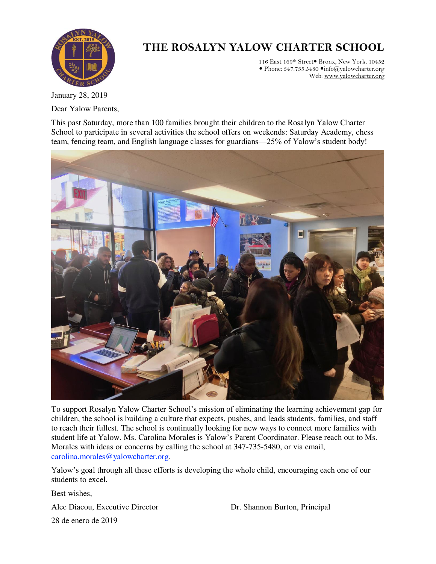

## **THE ROSALYN YALOW CHARTER SCHOOL**

116 East 169<sup>th</sup> Street<sup>•</sup> Bronx, New York, 10452  $\bullet$  Phone: 347.735.5480  $\bullet$  info@yalowcharter.org Web[: www.yalowcharter.org](http://www.yalowcharter.org/) 

January 28, 2019 Dear Yalow Parents,

This past Saturday, more than 100 families brought their children to the Rosalyn Yalow Charter School to participate in several activities the school offers on weekends: Saturday Academy, chess team, fencing team, and English language classes for guardians—25% of Yalow's student body!



To support Rosalyn Yalow Charter School's mission of eliminating the learning achievement gap for children, the school is building a culture that expects, pushes, and leads students, families, and staff to reach their fullest. The school is continually looking for new ways to connect more families with student life at Yalow. Ms. Carolina Morales is Yalow's Parent Coordinator. Please reach out to Ms. Morales with ideas or concerns by calling the school at 347-735-5480, or via email, [carolina.morales@yalowcharter.org.](http://carolina.morales@yalowcharter.org/)

Yalow's goal through all these efforts is developing the whole child, encouraging each one of our students to excel.

Best wishes,

Alec Diacou, Executive Director Dr. Shannon Burton, Principal

28 de enero de 2019